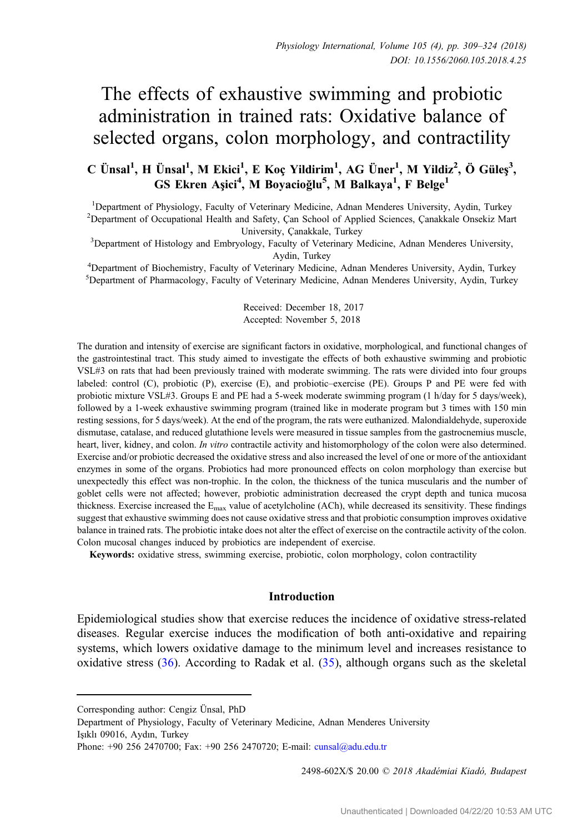# The effects of exhaustive swimming and probiotic administration in trained rats: Oxidative balance of selected organs, colon morphology, and contractility

C Ünsal<sup>1</sup>, H Ünsal<sup>1</sup>, M Ekici<sup>1</sup>, E Koç Yildirim<sup>1</sup>, AG Üner<sup>1</sup>, M Yildiz<sup>2</sup>, Ö Güleş<sup>3</sup>, GS Ekren Aşici<sup>4</sup>, M Boyacioğlu<sup>5</sup>, M Balkaya<sup>1</sup>, F Belge<sup>1</sup>

<sup>1</sup>Department of Physiology, Faculty of Veterinary Medicine, Adnan Menderes University, Aydin, Turkey <sup>2</sup>Department of Occupational Health and Safety Can School of Applied Sciences, Canakkale Opsekiz Ma <sup>2</sup>Department of Occupational Health and Safety, Çan School of Applied Sciences, Çanakkale Onsekiz Mart

University, Çanakkale, Turkey<br><sup>3</sup>Department of Histology and Embryology, Faculty of Veterinary Medicine, Adnan Menderes University,

Aydin, Turkey <sup>4</sup> Department of Biochemistry, Faculty of Veterinary Medicine, Adnan Menderes University, Aydin, Turkey 5 Department of Pharmacology, Faculty of Veterinary Medicine, Adnan Menderes University, Aydin, Turkey

> Received: December 18, 2017 Accepted: November 5, 2018

The duration and intensity of exercise are significant factors in oxidative, morphological, and functional changes of the gastrointestinal tract. This study aimed to investigate the effects of both exhaustive swimming and probiotic VSL#3 on rats that had been previously trained with moderate swimming. The rats were divided into four groups labeled: control (C), probiotic (P), exercise (E), and probiotic–exercise (PE). Groups P and PE were fed with probiotic mixture VSL#3. Groups E and PE had a 5-week moderate swimming program (1 h/day for 5 days/week), followed by a 1-week exhaustive swimming program (trained like in moderate program but 3 times with 150 min resting sessions, for 5 days/week). At the end of the program, the rats were euthanized. Malondialdehyde, superoxide dismutase, catalase, and reduced glutathione levels were measured in tissue samples from the gastrocnemius muscle, heart, liver, kidney, and colon. In vitro contractile activity and histomorphology of the colon were also determined. Exercise and/or probiotic decreased the oxidative stress and also increased the level of one or more of the antioxidant enzymes in some of the organs. Probiotics had more pronounced effects on colon morphology than exercise but unexpectedly this effect was non-trophic. In the colon, the thickness of the tunica muscularis and the number of goblet cells were not affected; however, probiotic administration decreased the crypt depth and tunica mucosa thickness. Exercise increased the  $E_{\text{max}}$  value of acetylcholine (ACh), while decreased its sensitivity. These findings suggest that exhaustive swimming does not cause oxidative stress and that probiotic consumption improves oxidative balance in trained rats. The probiotic intake does not alter the effect of exercise on the contractile activity of the colon. Colon mucosal changes induced by probiotics are independent of exercise.

Keywords: oxidative stress, swimming exercise, probiotic, colon morphology, colon contractility

## Introduction

Epidemiological studies show that exercise reduces the incidence of oxidative stress-related diseases. Regular exercise induces the modification of both anti-oxidative and repairing systems, which lowers oxidative damage to the minimum level and increases resistance to oxidative stress  $(36)$  $(36)$ . According to Radak et al.  $(35)$  $(35)$ , although organs such as the skeletal

2498-602X/\$ 20.00 © 2018 Akadémiai Kiadó, Budapest

Corresponding author: Cengiz Ünsal, PhD

Department of Physiology, Faculty of Veterinary Medicine, Adnan Menderes University I¸sıklı 09016, Aydın, Turkey

Phone: +90 256 2470700; Fax: +90 256 2470720; E-mail: [cunsal@adu.edu.tr](mailto:cunsal@adu.edu.tr)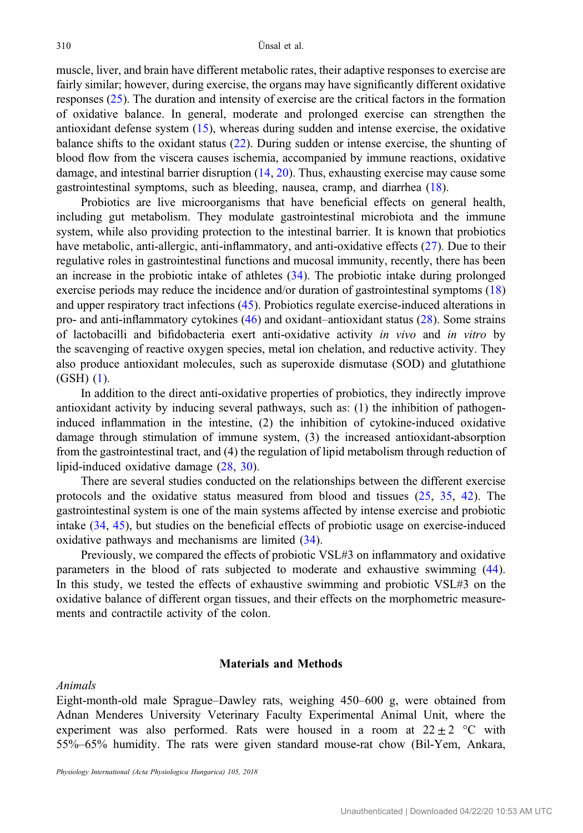muscle, liver, and brain have different metabolic rates, their adaptive responses to exercise are fairly similar; however, during exercise, the organs may have significantly different oxidative responses [\(25](#page-14-0)). The duration and intensity of exercise are the critical factors in the formation of oxidative balance. In general, moderate and prolonged exercise can strengthen the antioxidant defense system ([15\)](#page-13-0), whereas during sudden and intense exercise, the oxidative balance shifts to the oxidant status [\(22](#page-14-0)). During sudden or intense exercise, the shunting of blood flow from the viscera causes ischemia, accompanied by immune reactions, oxidative damage, and intestinal barrier disruption ([14,](#page-13-0) [20\)](#page-14-0). Thus, exhausting exercise may cause some gastrointestinal symptoms, such as bleeding, nausea, cramp, and diarrhea [\(18](#page-14-0)).

Probiotics are live microorganisms that have beneficial effects on general health, including gut metabolism. They modulate gastrointestinal microbiota and the immune system, while also providing protection to the intestinal barrier. It is known that probiotics have metabolic, anti-allergic, anti-inflammatory, and anti-oxidative effects [\(27](#page-14-0)). Due to their regulative roles in gastrointestinal functions and mucosal immunity, recently, there has been an increase in the probiotic intake of athletes ([34\)](#page-14-0). The probiotic intake during prolonged exercise periods may reduce the incidence and/or duration of gastrointestinal symptoms ([18\)](#page-14-0) and upper respiratory tract infections [\(45](#page-15-0)). Probiotics regulate exercise-induced alterations in pro- and anti-inflammatory cytokines [\(46](#page-15-0)) and oxidant–antioxidant status ([28\)](#page-14-0). Some strains of lactobacilli and bifidobacteria exert anti-oxidative activity in vivo and in vitro by the scavenging of reactive oxygen species, metal ion chelation, and reductive activity. They also produce antioxidant molecules, such as superoxide dismutase (SOD) and glutathione (GSH) [\(1](#page-13-0)).

In addition to the direct anti-oxidative properties of probiotics, they indirectly improve antioxidant activity by inducing several pathways, such as: (1) the inhibition of pathogeninduced inflammation in the intestine, (2) the inhibition of cytokine-induced oxidative damage through stimulation of immune system, (3) the increased antioxidant-absorption from the gastrointestinal tract, and (4) the regulation of lipid metabolism through reduction of lipid-induced oxidative damage [\(28](#page-14-0), [30](#page-14-0)).

There are several studies conducted on the relationships between the different exercise protocols and the oxidative status measured from blood and tissues [\(25](#page-14-0), [35](#page-14-0), [42\)](#page-15-0). The gastrointestinal system is one of the main systems affected by intense exercise and probiotic intake  $(34, 45)$  $(34, 45)$  $(34, 45)$  $(34, 45)$  $(34, 45)$ , but studies on the beneficial effects of probiotic usage on exercise-induced oxidative pathways and mechanisms are limited [\(34](#page-14-0)).

Previously, we compared the effects of probiotic VSL#3 on inflammatory and oxidative parameters in the blood of rats subjected to moderate and exhaustive swimming [\(44](#page-15-0)). In this study, we tested the effects of exhaustive swimming and probiotic VSL#3 on the oxidative balance of different organ tissues, and their effects on the morphometric measurements and contractile activity of the colon.

## Materials and Methods

Animals

Eight-month-old male Sprague–Dawley rats, weighing 450–600 g, were obtained from Adnan Menderes University Veterinary Faculty Experimental Animal Unit, where the experiment was also performed. Rats were housed in a room at  $22 \pm 2$  °C with 55%–65% humidity. The rats were given standard mouse-rat chow (Bil-Yem, Ankara,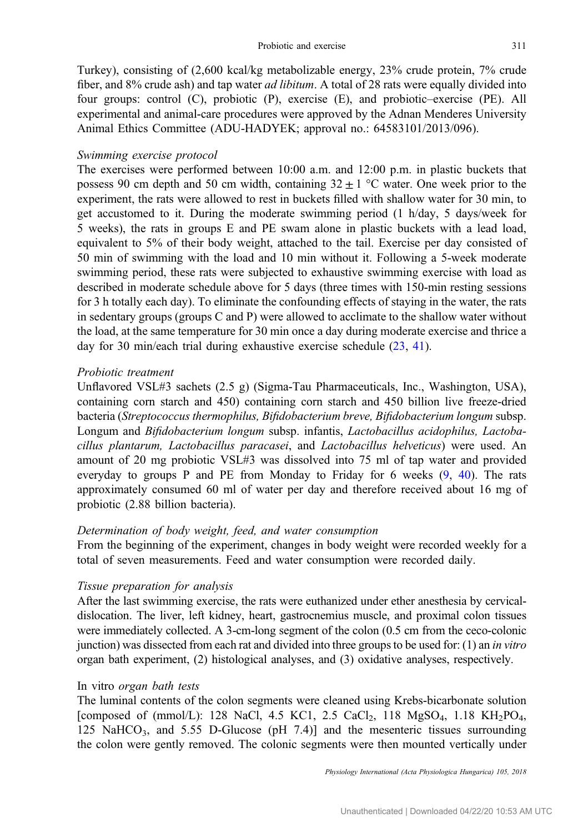Turkey), consisting of (2,600 kcal/kg metabolizable energy, 23% crude protein, 7% crude fiber, and 8% crude ash) and tap water ad libitum. A total of 28 rats were equally divided into four groups: control (C), probiotic (P), exercise (E), and probiotic–exercise (PE). All experimental and animal-care procedures were approved by the Adnan Menderes University Animal Ethics Committee (ADU-HADYEK; approval no.: 64583101/2013/096).

### Swimming exercise protocol

The exercises were performed between 10:00 a.m. and 12:00 p.m. in plastic buckets that possess 90 cm depth and 50 cm width, containing  $32 \pm 1$  °C water. One week prior to the experiment, the rats were allowed to rest in buckets filled with shallow water for 30 min, to get accustomed to it. During the moderate swimming period (1 h/day, 5 days/week for 5 weeks), the rats in groups E and PE swam alone in plastic buckets with a lead load, equivalent to 5% of their body weight, attached to the tail. Exercise per day consisted of 50 min of swimming with the load and 10 min without it. Following a 5-week moderate swimming period, these rats were subjected to exhaustive swimming exercise with load as described in moderate schedule above for 5 days (three times with 150-min resting sessions for 3 h totally each day). To eliminate the confounding effects of staying in the water, the rats in sedentary groups (groups C and P) were allowed to acclimate to the shallow water without the load, at the same temperature for 30 min once a day during moderate exercise and thrice a day for 30 min/each trial during exhaustive exercise schedule [\(23](#page-14-0), [41](#page-15-0)).

#### Probiotic treatment

Unflavored VSL#3 sachets (2.5 g) (Sigma-Tau Pharmaceuticals, Inc., Washington, USA), containing corn starch and 450) containing corn starch and 450 billion live freeze-dried bacteria (Streptococcus thermophilus, Bifidobacterium breve, Bifidobacterium longum subsp. Longum and Bifidobacterium longum subsp. infantis, Lactobacillus acidophilus, Lactobacillus plantarum, Lactobacillus paracasei, and Lactobacillus helveticus) were used. An amount of 20 mg probiotic VSL#3 was dissolved into 75 ml of tap water and provided everyday to groups P and PE from Monday to Friday for 6 weeks ([9,](#page-13-0) [40\)](#page-15-0). The rats approximately consumed 60 ml of water per day and therefore received about 16 mg of probiotic (2.88 billion bacteria).

# Determination of body weight, feed, and water consumption

From the beginning of the experiment, changes in body weight were recorded weekly for a total of seven measurements. Feed and water consumption were recorded daily.

#### Tissue preparation for analysis

After the last swimming exercise, the rats were euthanized under ether anesthesia by cervicaldislocation. The liver, left kidney, heart, gastrocnemius muscle, and proximal colon tissues were immediately collected. A 3-cm-long segment of the colon (0.5 cm from the ceco-colonic junction) was dissected from each rat and divided into three groups to be used for:  $(1)$  an *in vitro* organ bath experiment, (2) histological analyses, and (3) oxidative analyses, respectively.

#### In vitro organ bath tests

The luminal contents of the colon segments were cleaned using Krebs-bicarbonate solution [composed of (mmol/L): 128 NaCl, 4.5 KC1, 2.5 CaCl<sub>2</sub>, 118 MgSO<sub>4</sub>, 1.18 KH<sub>2</sub>PO<sub>4</sub>, 125 NaHCO<sub>3</sub>, and 5.55 D-Glucose (pH 7.4)] and the mesenteric tissues surrounding the colon were gently removed. The colonic segments were then mounted vertically under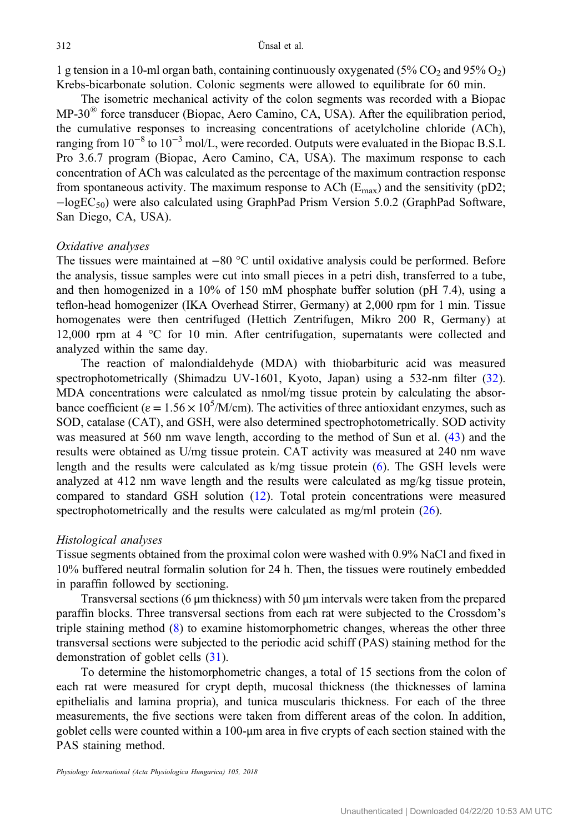1 g tension in a 10-ml organ bath, containing continuously oxygenated (5% CO<sub>2</sub> and 95% O<sub>2</sub>) Krebs-bicarbonate solution. Colonic segments were allowed to equilibrate for 60 min.

The isometric mechanical activity of the colon segments was recorded with a Biopac MP-30<sup>®</sup> force transducer (Biopac, Aero Camino, CA, USA). After the equilibration period, the cumulative responses to increasing concentrations of acetylcholine chloride (ACh), ranging from  $10^{-8}$  to  $10^{-3}$  mol/L, were recorded. Outputs were evaluated in the Biopac B.S.L Pro 3.6.7 program (Biopac, Aero Camino, CA, USA). The maximum response to each concentration of ACh was calculated as the percentage of the maximum contraction response from spontaneous activity. The maximum response to ACh ( $E_{\text{max}}$ ) and the sensitivity (pD2; −logEC50) were also calculated using GraphPad Prism Version 5.0.2 (GraphPad Software, San Diego, CA, USA).

#### Oxidative analyses

The tissues were maintained at −80 °C until oxidative analysis could be performed. Before the analysis, tissue samples were cut into small pieces in a petri dish, transferred to a tube, and then homogenized in a 10% of 150 mM phosphate buffer solution (pH 7.4), using a teflon-head homogenizer (IKA Overhead Stirrer, Germany) at 2,000 rpm for 1 min. Tissue homogenates were then centrifuged (Hettich Zentrifugen, Mikro 200 R, Germany) at 12,000 rpm at 4 °C for 10 min. After centrifugation, supernatants were collected and analyzed within the same day.

The reaction of malondialdehyde (MDA) with thiobarbituric acid was measured spectrophotometrically (Shimadzu UV-1601, Kyoto, Japan) using a 532-nm filter [\(32](#page-14-0)). MDA concentrations were calculated as nmol/mg tissue protein by calculating the absorbance coefficient ( $\varepsilon = 1.56 \times 10^5$ /M/cm). The activities of three antioxidant enzymes, such as SOD, catalase (CAT), and GSH, were also determined spectrophotometrically. SOD activity was measured at 560 nm wave length, according to the method of Sun et al. [\(43](#page-15-0)) and the results were obtained as U/mg tissue protein. CAT activity was measured at 240 nm wave length and the results were calculated as k/mg tissue protein ([6\)](#page-13-0). The GSH levels were analyzed at 412 nm wave length and the results were calculated as mg/kg tissue protein, compared to standard GSH solution [\(12\)](#page-13-0). Total protein concentrations were measured spectrophotometrically and the results were calculated as mg/ml protein ([26\)](#page-14-0).

#### Histological analyses

Tissue segments obtained from the proximal colon were washed with 0.9% NaCl and fixed in 10% buffered neutral formalin solution for 24 h. Then, the tissues were routinely embedded in paraffin followed by sectioning.

Transversal sections (6 μm thickness) with 50 μm intervals were taken from the prepared paraffin blocks. Three transversal sections from each rat were subjected to the Crossdom's triple staining method ([8](#page-13-0)) to examine histomorphometric changes, whereas the other three transversal sections were subjected to the periodic acid schiff (PAS) staining method for the demonstration of goblet cells [\(31](#page-14-0)).

To determine the histomorphometric changes, a total of 15 sections from the colon of each rat were measured for crypt depth, mucosal thickness (the thicknesses of lamina epithelialis and lamina propria), and tunica muscularis thickness. For each of the three measurements, the five sections were taken from different areas of the colon. In addition, goblet cells were counted within a 100-μm area in five crypts of each section stained with the PAS staining method.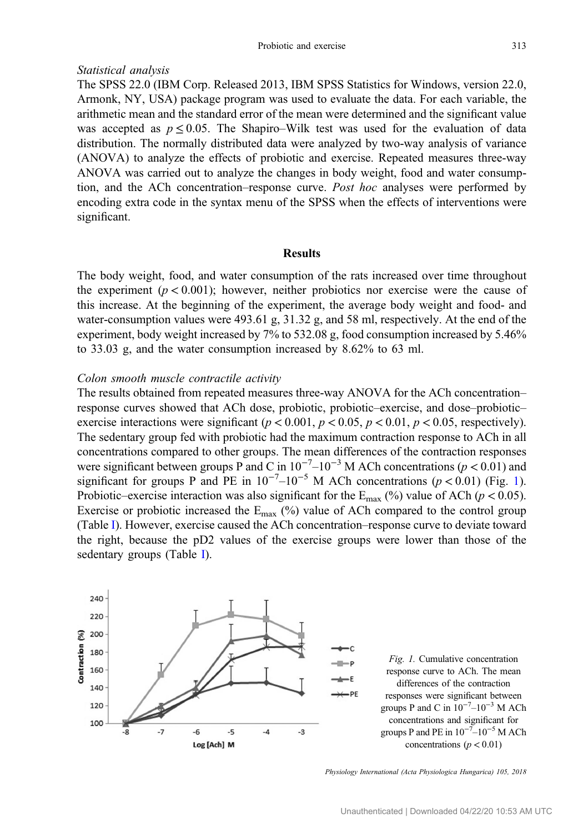# Statistical analysis

The SPSS 22.0 (IBM Corp. Released 2013, IBM SPSS Statistics for Windows, version 22.0, Armonk, NY, USA) package program was used to evaluate the data. For each variable, the arithmetic mean and the standard error of the mean were determined and the significant value was accepted as  $p \le 0.05$ . The Shapiro–Wilk test was used for the evaluation of data distribution. The normally distributed data were analyzed by two-way analysis of variance (ANOVA) to analyze the effects of probiotic and exercise. Repeated measures three-way ANOVA was carried out to analyze the changes in body weight, food and water consumption, and the ACh concentration–response curve. Post hoc analyses were performed by encoding extra code in the syntax menu of the SPSS when the effects of interventions were significant.

## Results

The body weight, food, and water consumption of the rats increased over time throughout the experiment  $(p < 0.001)$ ; however, neither probiotics nor exercise were the cause of this increase. At the beginning of the experiment, the average body weight and food- and water-consumption values were 493.61 g, 31.32 g, and 58 ml, respectively. At the end of the experiment, body weight increased by 7% to 532.08 g, food consumption increased by 5.46% to 33.03 g, and the water consumption increased by 8.62% to 63 ml.

## Colon smooth muscle contractile activity

The results obtained from repeated measures three-way ANOVA for the ACh concentration– response curves showed that ACh dose, probiotic, probiotic–exercise, and dose–probiotic– exercise interactions were significant ( $p < 0.001$ ,  $p < 0.05$ ,  $p < 0.01$ ,  $p < 0.05$ , respectively). The sedentary group fed with probiotic had the maximum contraction response to ACh in all concentrations compared to other groups. The mean differences of the contraction responses were significant between groups P and C in  $10^{-7}$ – $10^{-3}$  M ACh concentrations ( $p < 0.01$ ) and significant for groups P and PE in  $10^{-7}$ – $10^{-5}$  M ACh concentrations ( $p < 0.01$ ) (Fig. 1). Probiotic–exercise interaction was also significant for the  $E_{\text{max}}$  (%) value of ACh ( $p < 0.05$ ). Exercise or probiotic increased the  $E_{\text{max}}$  (%) value of ACh compared to the control group (Table [I](#page-5-0)). However, exercise caused the ACh concentration–response curve to deviate toward the right, because the pD2 values of the exercise groups were lower than those of the sedentary groups (Table [I\)](#page-5-0).



Fig. 1. Cumulative concentration response curve to ACh. The mean differences of the contraction responses were significant between groups P and C in  $10^{-7}$ – $10^{-3}$  M ACh concentrations and significant for groups P and PE in  $10^{-7}$ – $10^{-5}$  M ACh concentrations ( $p < 0.01$ )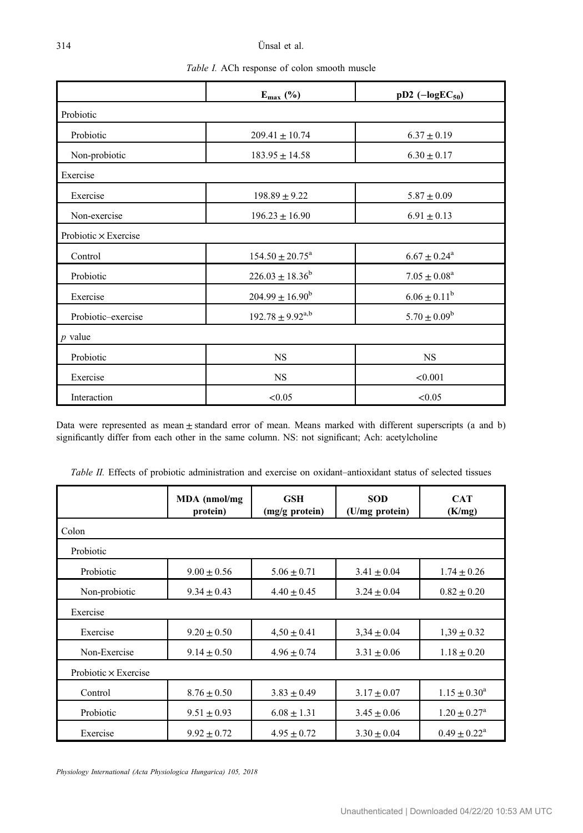Table I. ACh response of colon smooth muscle

<span id="page-5-0"></span>

|                             | $E_{\text{max}}$ (%)       | $pD2$ ( $-\log EC_{50}$ )    |
|-----------------------------|----------------------------|------------------------------|
| Probiotic                   |                            |                              |
| Probiotic                   | $209.41 \pm 10.74$         | $6.37 \pm 0.19$              |
| Non-probiotic               | $183.95 \pm 14.58$         | $6.30 \pm 0.17$              |
| Exercise                    |                            |                              |
| Exercise                    | $198.89 \pm 9.22$          | $5.87 \pm 0.09$              |
| Non-exercise                | $196.23 \pm 16.90$         | $6.91 \pm 0.13$              |
| Probiotic $\times$ Exercise |                            |                              |
| Control                     | $154.50 \pm 20.75^{\circ}$ | $6.67 \pm 0.24$ <sup>a</sup> |
| Probiotic                   | $226.03 \pm 18.36^b$       | $7.05 \pm 0.08^a$            |
| Exercise                    | $204.99 \pm 16.90^{\circ}$ | $6.06 \pm 0.11^b$            |
| Probiotic-exercise          | $192.78 \pm 9.92^{a,b}$    | $5.70 \pm 0.09^b$            |
| $p$ value                   |                            |                              |
| Probiotic                   | $_{\rm NS}$                | <b>NS</b>                    |
| Exercise                    | $_{\rm NS}$                | < 0.001                      |
| Interaction                 | < 0.05                     | < 0.05                       |

Data were represented as mean ± standard error of mean. Means marked with different superscripts (a and b) significantly differ from each other in the same column. NS: not significant; Ach: acetylcholine

|  |  |  | <i>Table II.</i> Effects of probiotic administration and exercise on oxidant-antioxidant status of selected tissues |  |  |  |  |  |  |  |  |  |  |
|--|--|--|---------------------------------------------------------------------------------------------------------------------|--|--|--|--|--|--|--|--|--|--|
|--|--|--|---------------------------------------------------------------------------------------------------------------------|--|--|--|--|--|--|--|--|--|--|

|                             | MDA (nmol/mg)<br>protein) | <b>GSH</b><br>(mg/g protein) | <b>SOD</b><br>(U/mg protein) | <b>CAT</b><br>(K/mg)    |
|-----------------------------|---------------------------|------------------------------|------------------------------|-------------------------|
| Colon                       |                           |                              |                              |                         |
| Probiotic                   |                           |                              |                              |                         |
| Probiotic                   | $9.00 \pm 0.56$           | $5.06 \pm 0.71$              | $3.41 \pm 0.04$              | $1.74 \pm 0.26$         |
| Non-probiotic               | $9.34 \pm 0.43$           | $4.40 \pm 0.45$              | $3.24 \pm 0.04$              | $0.82 \pm 0.20$         |
| Exercise                    |                           |                              |                              |                         |
| Exercise                    | $9.20 \pm 0.50$           | $4,50 \pm 0.41$              | $3,34 \pm 0.04$              | $1,39 \pm 0.32$         |
| Non-Exercise                | $9.14 \pm 0.50$           | $4.96 \pm 0.74$              | $3.31 \pm 0.06$              | $1.18 \pm 0.20$         |
| Probiotic $\times$ Exercise |                           |                              |                              |                         |
| Control                     | $8.76 \pm 0.50$           | $3.83 \pm 0.49$              | $3.17 \pm 0.07$              | $1.15 \pm 0.30^a$       |
| Probiotic                   | $9.51 \pm 0.93$           | $6.08 \pm 1.31$              | $3.45 \pm 0.06$              | $1.20 \pm 0.27^{\rm a}$ |
| Exercise                    | $9.92 \pm 0.72$           | $4.95 \pm 0.72$              | $3.30 \pm 0.04$              | $0.49 \pm 0.22^a$       |
|                             |                           |                              |                              |                         |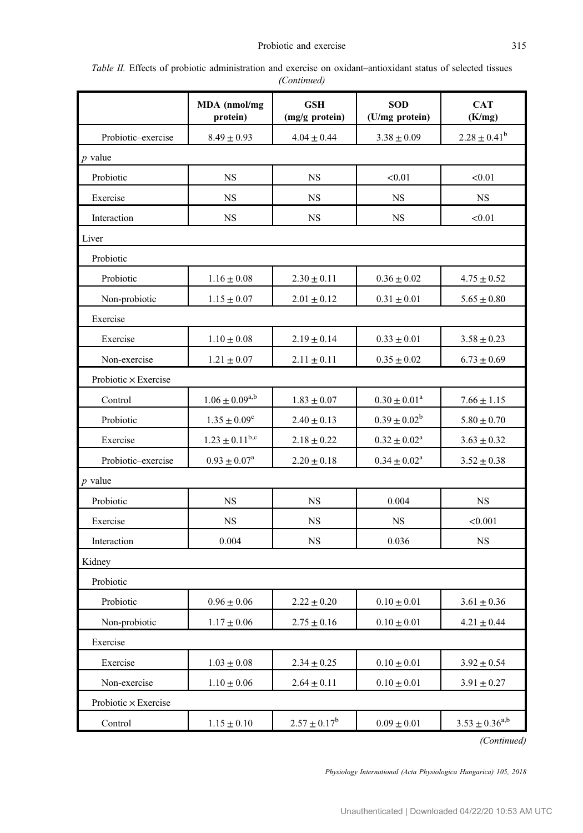|  | Table II. Effects of probiotic administration and exercise on oxidant-antioxidant status of selected tissues |             |  |  |  |
|--|--------------------------------------------------------------------------------------------------------------|-------------|--|--|--|
|  |                                                                                                              | (Continued) |  |  |  |

|                      | MDA (nmol/mg<br>protein) | <b>GSH</b><br>(mg/g protein) | <b>SOD</b><br>(U/mg protein) | <b>CAT</b><br>(K/mg)         |
|----------------------|--------------------------|------------------------------|------------------------------|------------------------------|
| Probiotic-exercise   | $8.49 \pm 0.93$          | $4.04\pm0.44$                | $3.38\pm0.09$                | $2.28 \pm 0.41^{\rm b}$      |
| $p$ value            |                          |                              |                              |                              |
| Probiotic            | <b>NS</b>                | <b>NS</b>                    | < 0.01                       | < 0.01                       |
| Exercise             | <b>NS</b>                | <b>NS</b>                    | <b>NS</b>                    | <b>NS</b>                    |
| Interaction          | <b>NS</b>                | <b>NS</b>                    | <b>NS</b>                    | < 0.01                       |
| Liver                |                          |                              |                              |                              |
| Probiotic            |                          |                              |                              |                              |
| Probiotic            | $1.16 \pm 0.08$          | $2.30 \pm 0.11$              | $0.36 \pm 0.02$              | $4.75 \pm 0.52$              |
| Non-probiotic        | $1.15 \pm 0.07$          | $2.01\pm0.12$                | $0.31\pm0.01$                | $5.65 \pm 0.80$              |
| Exercise             |                          |                              |                              |                              |
| Exercise             | $1.10 \pm 0.08$          | $2.19\pm0.14$                | $0.33 \pm 0.01$              | $3.58 \pm 0.23$              |
| Non-exercise         | $1.21 \pm 0.07$          | $2.11 \pm 0.11$              | $0.35 \pm 0.02$              | $6.73\pm0.69$                |
| Probiotic × Exercise |                          |                              |                              |                              |
| Control              | $1.06\pm0.09^{\rm a,b}$  | $1.83 \pm 0.07$              | $0.30\pm0.01^{\rm a}$        | $7.66 \pm 1.15$              |
| Probiotic            | $1.35 \pm 0.09^{\circ}$  | $2.40 \pm 0.13$              | $0.39 \pm 0.02^b$            | $5.80 \pm 0.70$              |
| Exercise             | $1.23 \pm 0.11^{b,c}$    | $2.18 \pm 0.22$              | $0.32 \pm 0.02^a$            | $3.63 \pm 0.32$              |
| Probiotic-exercise   | $0.93 \pm 0.07^{\rm a}$  | $2.20 \pm 0.18$              | $0.34 \pm 0.02^a$            | $3.52 \pm 0.38$              |
| $p$ value            |                          |                              |                              |                              |
| Probiotic            | <b>NS</b>                | <b>NS</b>                    | 0.004                        | <b>NS</b>                    |
| Exercise             | NS                       | NS                           | NS                           | < 0.001                      |
| Interaction          | 0.004                    | <b>NS</b>                    | 0.036                        | <b>NS</b>                    |
| Kidney               |                          |                              |                              |                              |
| Probiotic            |                          |                              |                              |                              |
| Probiotic            | $0.96 \pm 0.06$          | $2.22 \pm 0.20$              | $0.10 \pm 0.01$              | $3.61 \pm 0.36$              |
| Non-probiotic        | $1.17 \pm 0.06$          | $2.75 \pm 0.16$              | $0.10 \pm 0.01$              | $4.21 \pm 0.44$              |
| Exercise             |                          |                              |                              |                              |
| Exercise             | $1.03 \pm 0.08$          | $2.34 \pm 0.25$              | $0.10 \pm 0.01$              | $3.92 \pm 0.54$              |
| Non-exercise         | $1.10 \pm 0.06$          | $2.64 \pm 0.11$              | $0.10 \pm 0.01$              | $3.91 \pm 0.27$              |
| Probiotic × Exercise |                          |                              |                              |                              |
| Control              | $1.15 \pm 0.10$          | $2.57 \pm 0.17^{\rm b}$      | $0.09\pm0.01$                | $3.53\pm0.36^{\mathrm{a,b}}$ |

(Continued)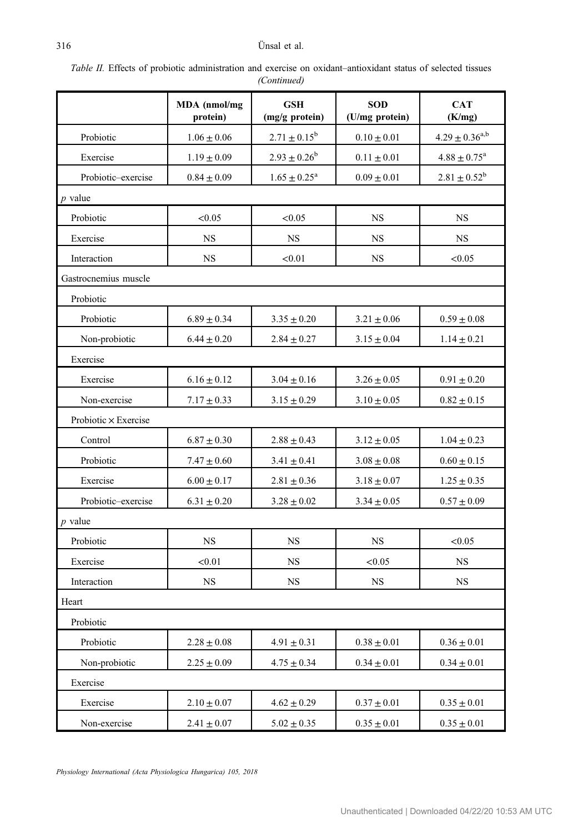### 316 Ünsal et al.

| Table II. Effects of probiotic administration and exercise on oxidant-antioxidant status of selected tissues |             |  |  |
|--------------------------------------------------------------------------------------------------------------|-------------|--|--|
|                                                                                                              | (Continued) |  |  |

|                      | MDA (nmol/mg<br>protein) | <b>GSH</b><br>(mg/g protein) | <b>SOD</b><br>(U/mg protein) | <b>CAT</b><br>(K/mg)    |
|----------------------|--------------------------|------------------------------|------------------------------|-------------------------|
| Probiotic            | $1.06 \pm 0.06$          | $2.71 \pm 0.15^{\rm b}$      | $0.10 \pm 0.01$              | $4.29 \pm 0.36^{a,b}$   |
| Exercise             | $1.19 \pm 0.09$          | $2.93 \pm 0.26^b$            | $0.11 \pm 0.01$              | $4.88 \pm 0.75^{\rm a}$ |
| Probiotic-exercise   | $0.84 \pm 0.09$          | $1.65 \pm 0.25^{\text{a}}$   | $0.09 \pm 0.01$              | $2.81 \pm 0.52^b$       |
| p value              |                          |                              |                              |                         |
| Probiotic            | < 0.05                   | < 0.05                       | <b>NS</b>                    | <b>NS</b>               |
| Exercise             | NS.                      | NS                           | NS                           | <b>NS</b>               |
| Interaction          | <b>NS</b>                | < 0.01                       | <b>NS</b>                    | < 0.05                  |
| Gastrocnemius muscle |                          |                              |                              |                         |
| Probiotic            |                          |                              |                              |                         |
| Probiotic            | $6.89 \pm 0.34$          | $3.35\pm0.20$                | $3.21 \pm 0.06$              | $0.59\pm0.08$           |
| Non-probiotic        | $6.44 \pm 0.20$          | $2.84 \pm 0.27$              | $3.15 \pm 0.04$              | $1.14 \pm 0.21$         |
| Exercise             |                          |                              |                              |                         |
| Exercise             | $6.16 \pm 0.12$          | $3.04 \pm 0.16$              | $3.26 \pm 0.05$              | $0.91 \pm 0.20$         |
| Non-exercise         | $7.17 \pm 0.33$          | $3.15 \pm 0.29$              | $3.10 \pm 0.05$              | $0.82 \pm 0.15$         |
| Probiotic × Exercise |                          |                              |                              |                         |
| Control              | $6.87 \pm 0.30$          | $2.88 \pm 0.43$              | $3.12 \pm 0.05$              | $1.04 \pm 0.23$         |
| Probiotic            | $7.47 \pm 0.60$          | $3.41 \pm 0.41$              | $3.08 \pm 0.08$              | $0.60 \pm 0.15$         |
| Exercise             | $6.00 \pm 0.17$          | $2.81 \pm 0.36$              | $3.18 \pm 0.07$              | $1.25 \pm 0.35$         |
| Probiotic-exercise   | $6.31 \pm 0.20$          | $3.28 \pm 0.02$              | $3.34 \pm 0.05$              | $0.57 \pm 0.09$         |
| p value              |                          |                              |                              |                         |
| Probiotic            | <b>NS</b>                | <b>NS</b>                    | <b>NS</b>                    | < 0.05                  |
| Exercise             | < 0.01                   | NS                           | < 0.05                       | <b>NS</b>               |
| Interaction          | <b>NS</b>                | <b>NS</b>                    | <b>NS</b>                    | <b>NS</b>               |
| Heart                |                          |                              |                              |                         |
| Probiotic            |                          |                              |                              |                         |
| Probiotic            | $2.28\pm0.08$            | $4.91\pm0.31$                | $0.38\pm0.01$                | $0.36\pm0.01$           |
| Non-probiotic        | $2.25 \pm 0.09$          | $4.75 \pm 0.34$              | $0.34 \pm 0.01$              | $0.34 \pm 0.01$         |
| Exercise             |                          |                              |                              |                         |
| Exercise             | $2.10 \pm 0.07$          | $4.62 \pm 0.29$              | $0.37 \pm 0.01$              | $0.35 \pm 0.01$         |
| Non-exercise         | $2.41 \pm 0.07$          | $5.02\pm0.35$                | $0.35\pm0.01$                | $0.35 \pm 0.01$         |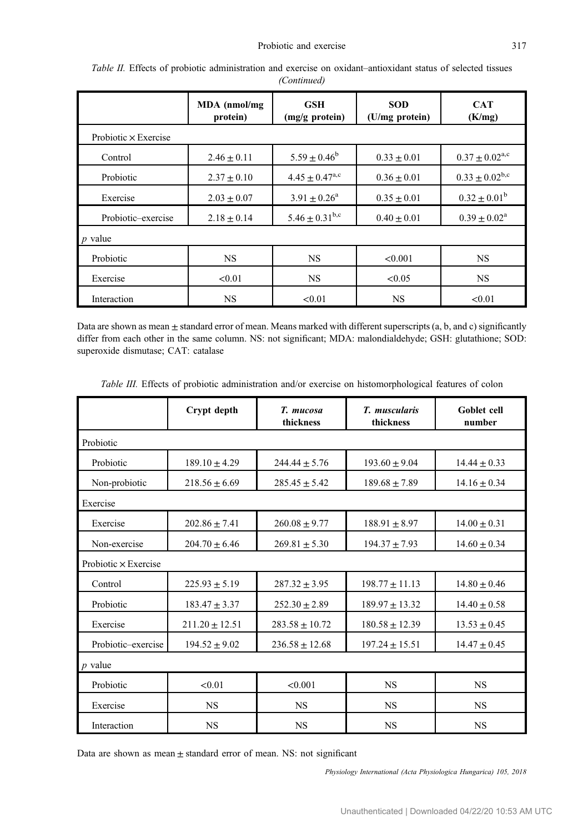|                             | MDA (nmol/mg)<br>protein) | <b>GSH</b><br>(mg/g protein) | <b>SOD</b><br>(U/mg protein) | <b>CAT</b><br>(K/mg)           |
|-----------------------------|---------------------------|------------------------------|------------------------------|--------------------------------|
| Probiotic $\times$ Exercise |                           |                              |                              |                                |
| Control                     | $2.46 \pm 0.11$           | $5.59 \pm 0.46^b$            | $0.33 \pm 0.01$              | $0.37 \pm 0.02$ <sup>a,c</sup> |
| Probiotic                   | $2.37 + 0.10$             | $4.45 + 0.47^{\text{a,c}}$   | $0.36 \pm 0.01$              | $0.33 \pm 0.02^{\rm b,c}$      |
| Exercise                    | $2.03 \pm 0.07$           | $3.91 \pm 0.26^a$            | $0.35 \pm 0.01$              | $0.32 \pm 0.01^{\rm b}$        |
| Probiotic–exercise          | $2.18 \pm 0.14$           | $5.46 \pm 0.31^{b,c}$        | $0.40 \pm 0.01$              | $0.39 \pm 0.02^a$              |
| $p$ value                   |                           |                              |                              |                                |
| Probiotic                   | NS.                       | NS.                          | < 0.001                      | <b>NS</b>                      |
| Exercise                    | < 0.01                    | <b>NS</b>                    | < 0.05                       | <b>NS</b>                      |
| Interaction                 | <b>NS</b>                 | < 0.01                       | NS                           | < 0.01                         |

<span id="page-8-0"></span>Table II. Effects of probiotic administration and exercise on oxidant–antioxidant status of selected tissues (Continued)

Data are shown as mean  $\pm$  standard error of mean. Means marked with different superscripts (a, b, and c) significantly differ from each other in the same column. NS: not significant; MDA: malondialdehyde; GSH: glutathione; SOD: superoxide dismutase; CAT: catalase

Table III. Effects of probiotic administration and/or exercise on histomorphological features of colon

|                             | Crypt depth        | T. mucosa<br>thickness | T. muscularis<br>thickness | Goblet cell<br>number |  |  |  |
|-----------------------------|--------------------|------------------------|----------------------------|-----------------------|--|--|--|
| Probiotic                   |                    |                        |                            |                       |  |  |  |
| Probiotic                   | $189.10 \pm 4.29$  | $244.44 \pm 5.76$      | $193.60 \pm 9.04$          | $14.44 \pm 0.33$      |  |  |  |
| Non-probiotic               | $218.56 \pm 6.69$  | $285.45 \pm 5.42$      | $189.68 \pm 7.89$          | $14.16 \pm 0.34$      |  |  |  |
| Exercise                    |                    |                        |                            |                       |  |  |  |
| Exercise                    | $202.86 \pm 7.41$  | $260.08 \pm 9.77$      | $188.91 \pm 8.97$          | $14.00 \pm 0.31$      |  |  |  |
| Non-exercise                | $204.70 \pm 6.46$  | $269.81 + 5.30$        | $194.37 + 7.93$            | $14.60 + 0.34$        |  |  |  |
| Probiotic $\times$ Exercise |                    |                        |                            |                       |  |  |  |
| Control                     | $225.93 \pm 5.19$  | $287.32 \pm 3.95$      | $198.77 \pm 11.13$         | $14.80 \pm 0.46$      |  |  |  |
| Probiotic                   | $183.47 \pm 3.37$  | $252.30 \pm 2.89$      | $189.97 \pm 13.32$         | $14.40 \pm 0.58$      |  |  |  |
| Exercise                    | $211.20 \pm 12.51$ | $283.58 \pm 10.72$     | $180.58 \pm 12.39$         | $13.53 \pm 0.45$      |  |  |  |
| Probiotic-exercise          | $194.52 + 9.02$    | $236.58 + 12.68$       | $197.24 + 15.51$           | $14.47 + 0.45$        |  |  |  |
| $p$ value                   |                    |                        |                            |                       |  |  |  |
| Probiotic                   | < 0.01             | < 0.001                | <b>NS</b>                  | <b>NS</b>             |  |  |  |
| Exercise                    | <b>NS</b>          | <b>NS</b>              | <b>NS</b>                  | NS.                   |  |  |  |
| Interaction                 | <b>NS</b>          | <b>NS</b>              | <b>NS</b>                  | <b>NS</b>             |  |  |  |

Data are shown as mean ± standard error of mean. NS: not significant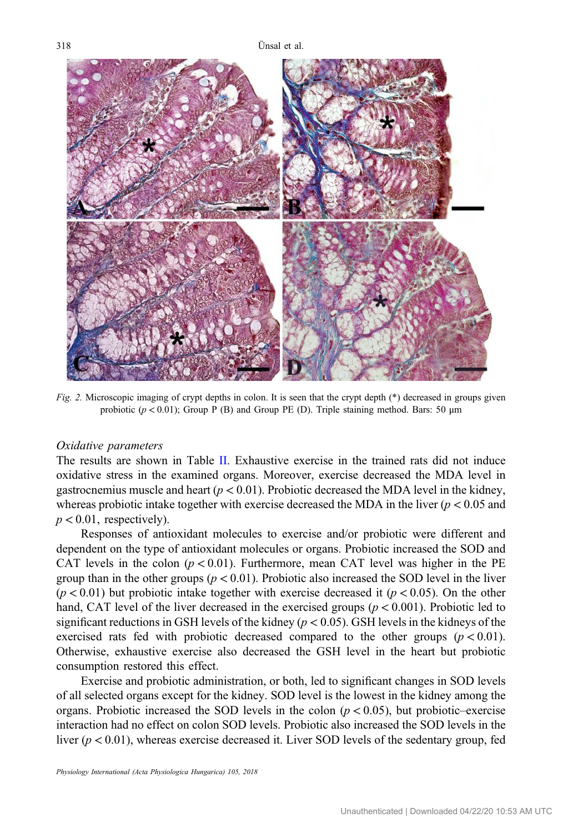<span id="page-9-0"></span>



Fig. 2. Microscopic imaging of crypt depths in colon. It is seen that the crypt depth (\*) decreased in groups given probiotic ( $p < 0.01$ ); Group P (B) and Group PE (D). Triple staining method. Bars: 50  $\mu$ m

#### Oxidative parameters

The results are shown in Table [II](#page-5-0). Exhaustive exercise in the trained rats did not induce oxidative stress in the examined organs. Moreover, exercise decreased the MDA level in gastrocnemius muscle and heart ( $p < 0.01$ ). Probiotic decreased the MDA level in the kidney, whereas probiotic intake together with exercise decreased the MDA in the liver ( $p < 0.05$  and  $p < 0.01$ , respectively).

Responses of antioxidant molecules to exercise and/or probiotic were different and dependent on the type of antioxidant molecules or organs. Probiotic increased the SOD and CAT levels in the colon ( $p < 0.01$ ). Furthermore, mean CAT level was higher in the PE group than in the other groups ( $p < 0.01$ ). Probiotic also increased the SOD level in the liver  $(p < 0.01)$  but probiotic intake together with exercise decreased it  $(p < 0.05)$ . On the other hand, CAT level of the liver decreased in the exercised groups ( $p < 0.001$ ). Probiotic led to significant reductions in GSH levels of the kidney ( $p < 0.05$ ). GSH levels in the kidneys of the exercised rats fed with probiotic decreased compared to the other groups  $(p < 0.01)$ . Otherwise, exhaustive exercise also decreased the GSH level in the heart but probiotic consumption restored this effect.

Exercise and probiotic administration, or both, led to significant changes in SOD levels of all selected organs except for the kidney. SOD level is the lowest in the kidney among the organs. Probiotic increased the SOD levels in the colon  $(p < 0.05)$ , but probiotic–exercise interaction had no effect on colon SOD levels. Probiotic also increased the SOD levels in the liver ( $p < 0.01$ ), whereas exercise decreased it. Liver SOD levels of the sedentary group, fed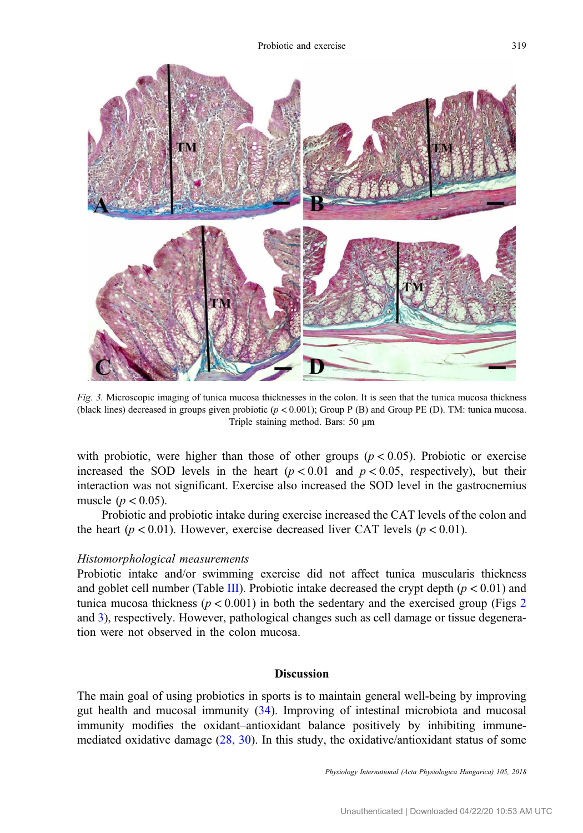

Fig. 3. Microscopic imaging of tunica mucosa thicknesses in the colon. It is seen that the tunica mucosa thickness (black lines) decreased in groups given probiotic  $(p < 0.001)$ ; Group P (B) and Group PE (D). TM: tunica mucosa. Triple staining method. Bars: 50 μm

with probiotic, were higher than those of other groups ( $p < 0.05$ ). Probiotic or exercise increased the SOD levels in the heart  $(p < 0.01$  and  $p < 0.05$ , respectively), but their interaction was not significant. Exercise also increased the SOD level in the gastrocnemius muscle ( $p < 0.05$ ).

Probiotic and probiotic intake during exercise increased the CAT levels of the colon and the heart ( $p < 0.01$ ). However, exercise decreased liver CAT levels ( $p < 0.01$ ).

#### Histomorphological measurements

Probiotic intake and/or swimming exercise did not affect tunica muscularis thickness and goblet cell number (Table [III](#page-8-0)). Probiotic intake decreased the crypt depth ( $p < 0.01$ ) and tunica mucosa thickness ( $p < 0.001$ ) in both the sedentary and the exercised group (Figs [2](#page-9-0) and 3), respectively. However, pathological changes such as cell damage or tissue degeneration were not observed in the colon mucosa.

# Discussion

The main goal of using probiotics in sports is to maintain general well-being by improving gut health and mucosal immunity [\(34](#page-14-0)). Improving of intestinal microbiota and mucosal immunity modifies the oxidant–antioxidant balance positively by inhibiting immunemediated oxidative damage [\(28,](#page-14-0) [30](#page-14-0)). In this study, the oxidative/antioxidant status of some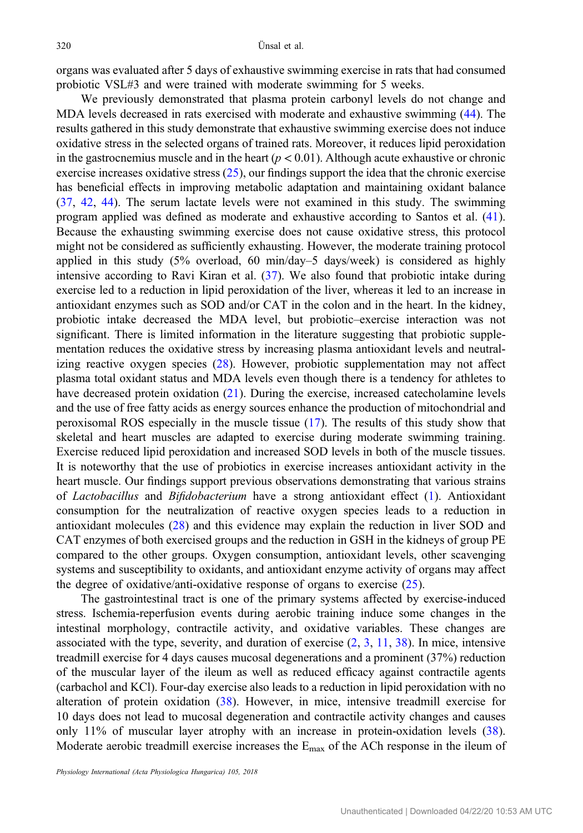organs was evaluated after 5 days of exhaustive swimming exercise in rats that had consumed probiotic VSL#3 and were trained with moderate swimming for 5 weeks.

We previously demonstrated that plasma protein carbonyl levels do not change and MDA levels decreased in rats exercised with moderate and exhaustive swimming ([44\)](#page-15-0). The results gathered in this study demonstrate that exhaustive swimming exercise does not induce oxidative stress in the selected organs of trained rats. Moreover, it reduces lipid peroxidation in the gastrocnemius muscle and in the heart ( $p < 0.01$ ). Although acute exhaustive or chronic exercise increases oxidative stress [\(25](#page-14-0)), our findings support the idea that the chronic exercise has beneficial effects in improving metabolic adaptation and maintaining oxidant balance [\(37](#page-14-0), [42](#page-15-0), [44\)](#page-15-0). The serum lactate levels were not examined in this study. The swimming program applied was defined as moderate and exhaustive according to Santos et al. [\(41](#page-15-0)). Because the exhausting swimming exercise does not cause oxidative stress, this protocol might not be considered as sufficiently exhausting. However, the moderate training protocol applied in this study (5% overload, 60 min/day–5 days/week) is considered as highly intensive according to Ravi Kiran et al. ([37\)](#page-14-0). We also found that probiotic intake during exercise led to a reduction in lipid peroxidation of the liver, whereas it led to an increase in antioxidant enzymes such as SOD and/or CAT in the colon and in the heart. In the kidney, probiotic intake decreased the MDA level, but probiotic–exercise interaction was not significant. There is limited information in the literature suggesting that probiotic supplementation reduces the oxidative stress by increasing plasma antioxidant levels and neutralizing reactive oxygen species ([28\)](#page-14-0). However, probiotic supplementation may not affect plasma total oxidant status and MDA levels even though there is a tendency for athletes to have decreased protein oxidation [\(21](#page-14-0)). During the exercise, increased catecholamine levels and the use of free fatty acids as energy sources enhance the production of mitochondrial and peroxisomal ROS especially in the muscle tissue ([17\)](#page-14-0). The results of this study show that skeletal and heart muscles are adapted to exercise during moderate swimming training. Exercise reduced lipid peroxidation and increased SOD levels in both of the muscle tissues. It is noteworthy that the use of probiotics in exercise increases antioxidant activity in the heart muscle. Our findings support previous observations demonstrating that various strains of Lactobacillus and Bifidobacterium have a strong antioxidant effect ([1\)](#page-13-0). Antioxidant consumption for the neutralization of reactive oxygen species leads to a reduction in antioxidant molecules [\(28](#page-14-0)) and this evidence may explain the reduction in liver SOD and CAT enzymes of both exercised groups and the reduction in GSH in the kidneys of group PE compared to the other groups. Oxygen consumption, antioxidant levels, other scavenging systems and susceptibility to oxidants, and antioxidant enzyme activity of organs may affect the degree of oxidative/anti-oxidative response of organs to exercise [\(25\)](#page-14-0).

The gastrointestinal tract is one of the primary systems affected by exercise-induced stress. Ischemia-reperfusion events during aerobic training induce some changes in the intestinal morphology, contractile activity, and oxidative variables. These changes are associated with the type, severity, and duration of exercise  $(2, 3, 11, 38)$  $(2, 3, 11, 38)$  $(2, 3, 11, 38)$  $(2, 3, 11, 38)$  $(2, 3, 11, 38)$  $(2, 3, 11, 38)$  $(2, 3, 11, 38)$  $(2, 3, 11, 38)$ . In mice, intensive treadmill exercise for 4 days causes mucosal degenerations and a prominent (37%) reduction of the muscular layer of the ileum as well as reduced efficacy against contractile agents (carbachol and KCl). Four-day exercise also leads to a reduction in lipid peroxidation with no alteration of protein oxidation ([38\)](#page-14-0). However, in mice, intensive treadmill exercise for 10 days does not lead to mucosal degeneration and contractile activity changes and causes only 11% of muscular layer atrophy with an increase in protein-oxidation levels [\(38](#page-14-0)). Moderate aerobic treadmill exercise increases the  $E_{\text{max}}$  of the ACh response in the ileum of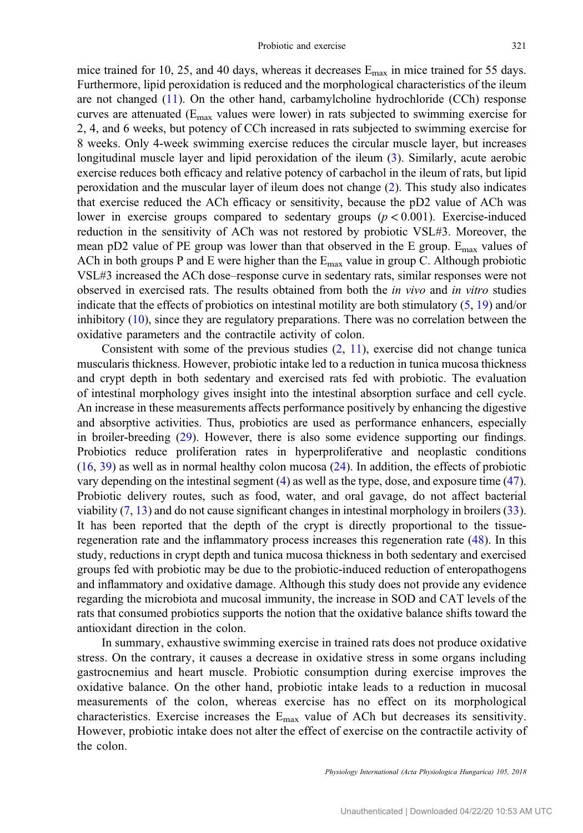mice trained for 10, 25, and 40 days, whereas it decreases  $E_{\text{max}}$  in mice trained for 55 days. Furthermore, lipid peroxidation is reduced and the morphological characteristics of the ileum are not changed ([11\)](#page-13-0). On the other hand, carbamylcholine hydrochloride (CCh) response curves are attenuated ( $E_{\text{max}}$  values were lower) in rats subjected to swimming exercise for 2, 4, and 6 weeks, but potency of CCh increased in rats subjected to swimming exercise for 8 weeks. Only 4-week swimming exercise reduces the circular muscle layer, but increases longitudinal muscle layer and lipid peroxidation of the ileum [\(3](#page-13-0)). Similarly, acute aerobic exercise reduces both efficacy and relative potency of carbachol in the ileum of rats, but lipid peroxidation and the muscular layer of ileum does not change [\(2](#page-13-0)). This study also indicates that exercise reduced the ACh efficacy or sensitivity, because the pD2 value of ACh was lower in exercise groups compared to sedentary groups  $(p < 0.001)$ . Exercise-induced reduction in the sensitivity of ACh was not restored by probiotic VSL#3. Moreover, the mean pD2 value of PE group was lower than that observed in the E group.  $E_{\text{max}}$  values of ACh in both groups P and E were higher than the  $E_{\text{max}}$  value in group C. Although probiotic VSL#3 increased the ACh dose–response curve in sedentary rats, similar responses were not observed in exercised rats. The results obtained from both the in vivo and in vitro studies indicate that the effects of probiotics on intestinal motility are both stimulatory  $(5, 19)$  $(5, 19)$  $(5, 19)$  $(5, 19)$  and/or inhibitory ([10\)](#page-13-0), since they are regulatory preparations. There was no correlation between the oxidative parameters and the contractile activity of colon.

Consistent with some of the previous studies  $(2, 11)$  $(2, 11)$  $(2, 11)$  $(2, 11)$ , exercise did not change tunica muscularis thickness. However, probiotic intake led to a reduction in tunica mucosa thickness and crypt depth in both sedentary and exercised rats fed with probiotic. The evaluation of intestinal morphology gives insight into the intestinal absorption surface and cell cycle. An increase in these measurements affects performance positively by enhancing the digestive and absorptive activities. Thus, probiotics are used as performance enhancers, especially in broiler-breeding ([29\)](#page-14-0). However, there is also some evidence supporting our findings. Probiotics reduce proliferation rates in hyperproliferative and neoplastic conditions [\(16](#page-14-0), [39](#page-15-0)) as well as in normal healthy colon mucosa ([24\)](#page-14-0). In addition, the effects of probiotic vary depending on the intestinal segment ([4\)](#page-13-0) as well as the type, dose, and exposure time [\(47](#page-15-0)). Probiotic delivery routes, such as food, water, and oral gavage, do not affect bacterial viability [\(7](#page-13-0), [13\)](#page-13-0) and do not cause significant changes in intestinal morphology in broilers [\(33](#page-14-0)). It has been reported that the depth of the crypt is directly proportional to the tissueregeneration rate and the inflammatory process increases this regeneration rate ([48\)](#page-15-0). In this study, reductions in crypt depth and tunica mucosa thickness in both sedentary and exercised groups fed with probiotic may be due to the probiotic-induced reduction of enteropathogens and inflammatory and oxidative damage. Although this study does not provide any evidence regarding the microbiota and mucosal immunity, the increase in SOD and CAT levels of the rats that consumed probiotics supports the notion that the oxidative balance shifts toward the antioxidant direction in the colon.

In summary, exhaustive swimming exercise in trained rats does not produce oxidative stress. On the contrary, it causes a decrease in oxidative stress in some organs including gastrocnemius and heart muscle. Probiotic consumption during exercise improves the oxidative balance. On the other hand, probiotic intake leads to a reduction in mucosal measurements of the colon, whereas exercise has no effect on its morphological characteristics. Exercise increases the  $E_{\text{max}}$  value of ACh but decreases its sensitivity. However, probiotic intake does not alter the effect of exercise on the contractile activity of the colon.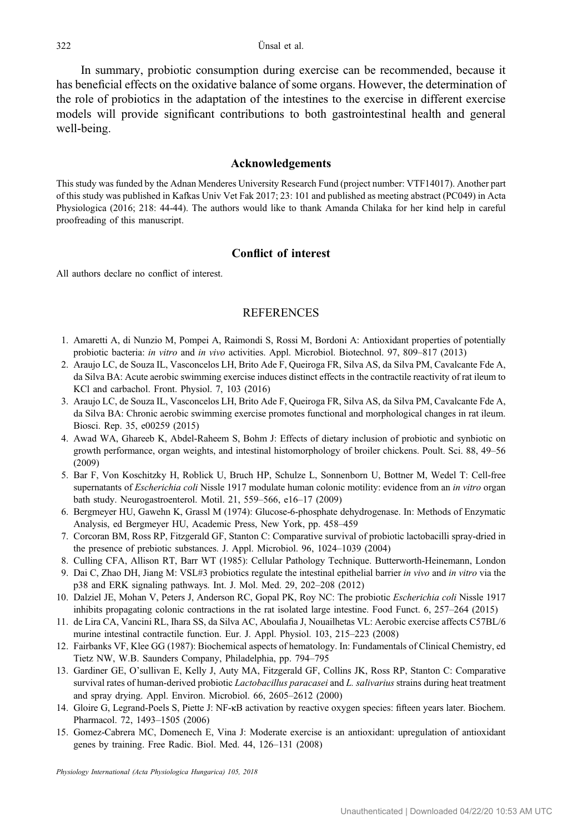#### <span id="page-13-0"></span>322 Ünsal et al.

In summary, probiotic consumption during exercise can be recommended, because it has beneficial effects on the oxidative balance of some organs. However, the determination of the role of probiotics in the adaptation of the intestines to the exercise in different exercise models will provide significant contributions to both gastrointestinal health and general well-being.

#### Acknowledgements

This study was funded by the Adnan Menderes University Research Fund (project number: VTF14017). Another part of this study was published in Kafkas Univ Vet Fak 2017; 23: 101 and published as meeting abstract (PC049) in Acta Physiologica (2016; 218: 44-44). The authors would like to thank Amanda Chilaka for her kind help in careful proofreading of this manuscript.

## Conflict of interest

All authors declare no conflict of interest.

### **REFERENCES**

- 1. Amaretti A, di Nunzio M, Pompei A, Raimondi S, Rossi M, Bordoni A: Antioxidant properties of potentially probiotic bacteria: in vitro and in vivo activities. Appl. Microbiol. Biotechnol. 97, 809–817 (2013)
- 2. Araujo LC, de Souza IL, Vasconcelos LH, Brito Ade F, Queiroga FR, Silva AS, da Silva PM, Cavalcante Fde A, da Silva BA: Acute aerobic swimming exercise induces distinct effects in the contractile reactivity of rat ileum to KCl and carbachol. Front. Physiol. 7, 103 (2016)
- 3. Araujo LC, de Souza IL, Vasconcelos LH, Brito Ade F, Queiroga FR, Silva AS, da Silva PM, Cavalcante Fde A, da Silva BA: Chronic aerobic swimming exercise promotes functional and morphological changes in rat ileum. Biosci. Rep. 35, e00259 (2015)
- 4. Awad WA, Ghareeb K, Abdel-Raheem S, Bohm J: Effects of dietary inclusion of probiotic and synbiotic on growth performance, organ weights, and intestinal histomorphology of broiler chickens. Poult. Sci. 88, 49–56 (2009)
- 5. Bar F, Von Koschitzky H, Roblick U, Bruch HP, Schulze L, Sonnenborn U, Bottner M, Wedel T: Cell-free supernatants of *Escherichia coli* Nissle 1917 modulate human colonic motility: evidence from an in vitro organ bath study. Neurogastroenterol. Motil. 21, 559–566, e16–17 (2009)
- 6. Bergmeyer HU, Gawehn K, Grassl M (1974): Glucose-6-phosphate dehydrogenase. In: Methods of Enzymatic Analysis, ed Bergmeyer HU, Academic Press, New York, pp. 458–459
- 7. Corcoran BM, Ross RP, Fitzgerald GF, Stanton C: Comparative survival of probiotic lactobacilli spray-dried in the presence of prebiotic substances. J. Appl. Microbiol. 96, 1024–1039 (2004)
- 8. Culling CFA, Allison RT, Barr WT (1985): Cellular Pathology Technique. Butterworth-Heinemann, London
- 9. Dai C, Zhao DH, Jiang M: VSL#3 probiotics regulate the intestinal epithelial barrier in vivo and in vitro via the p38 and ERK signaling pathways. Int. J. Mol. Med. 29, 202–208 (2012)
- 10. Dalziel JE, Mohan V, Peters J, Anderson RC, Gopal PK, Roy NC: The probiotic Escherichia coli Nissle 1917 inhibits propagating colonic contractions in the rat isolated large intestine. Food Funct. 6, 257–264 (2015)
- 11. de Lira CA, Vancini RL, Ihara SS, da Silva AC, Aboulafia J, Nouailhetas VL: Aerobic exercise affects C57BL/6 murine intestinal contractile function. Eur. J. Appl. Physiol. 103, 215–223 (2008)
- 12. Fairbanks VF, Klee GG (1987): Biochemical aspects of hematology. In: Fundamentals of Clinical Chemistry, ed Tietz NW, W.B. Saunders Company, Philadelphia, pp. 794–795
- 13. Gardiner GE, O'sullivan E, Kelly J, Auty MA, Fitzgerald GF, Collins JK, Ross RP, Stanton C: Comparative survival rates of human-derived probiotic *Lactobacillus paracasei* and L. salivarius strains during heat treatment and spray drying. Appl. Environ. Microbiol. 66, 2605–2612 (2000)
- 14. Gloire G, Legrand-Poels S, Piette J: NF-κB activation by reactive oxygen species: fifteen years later. Biochem. Pharmacol. 72, 1493–1505 (2006)
- 15. Gomez-Cabrera MC, Domenech E, Vina J: Moderate exercise is an antioxidant: upregulation of antioxidant genes by training. Free Radic. Biol. Med. 44, 126–131 (2008)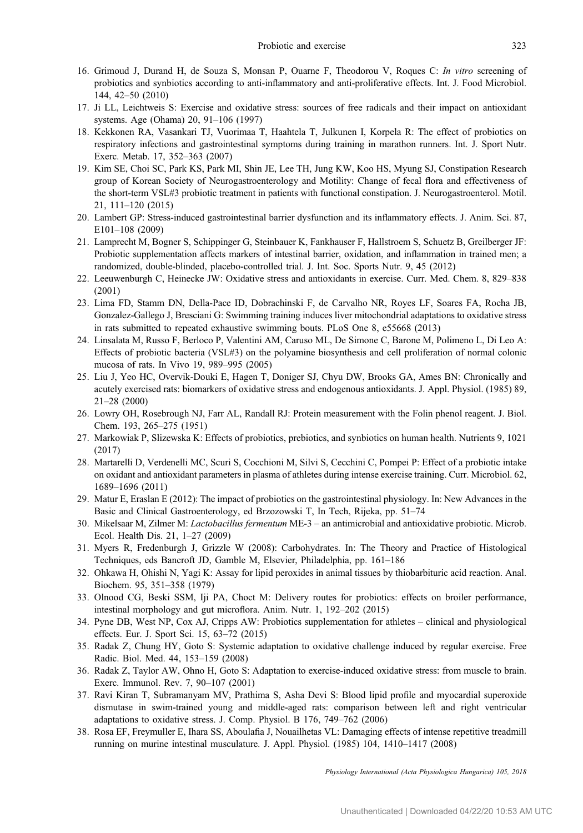- <span id="page-14-0"></span>16. Grimoud J, Durand H, de Souza S, Monsan P, Ouarne F, Theodorou V, Roques C: In vitro screening of probiotics and synbiotics according to anti-inflammatory and anti-proliferative effects. Int. J. Food Microbiol. 144, 42–50 (2010)
- 17. Ji LL, Leichtweis S: Exercise and oxidative stress: sources of free radicals and their impact on antioxidant systems. Age (Ohama) 20, 91–106 (1997)
- 18. Kekkonen RA, Vasankari TJ, Vuorimaa T, Haahtela T, Julkunen I, Korpela R: The effect of probiotics on respiratory infections and gastrointestinal symptoms during training in marathon runners. Int. J. Sport Nutr. Exerc. Metab. 17, 352–363 (2007)
- 19. Kim SE, Choi SC, Park KS, Park MI, Shin JE, Lee TH, Jung KW, Koo HS, Myung SJ, Constipation Research group of Korean Society of Neurogastroenterology and Motility: Change of fecal flora and effectiveness of the short-term VSL#3 probiotic treatment in patients with functional constipation. J. Neurogastroenterol. Motil. 21, 111–120 (2015)
- 20. Lambert GP: Stress-induced gastrointestinal barrier dysfunction and its inflammatory effects. J. Anim. Sci. 87, E101–108 (2009)
- 21. Lamprecht M, Bogner S, Schippinger G, Steinbauer K, Fankhauser F, Hallstroem S, Schuetz B, Greilberger JF: Probiotic supplementation affects markers of intestinal barrier, oxidation, and inflammation in trained men; a randomized, double-blinded, placebo-controlled trial. J. Int. Soc. Sports Nutr. 9, 45 (2012)
- 22. Leeuwenburgh C, Heinecke JW: Oxidative stress and antioxidants in exercise. Curr. Med. Chem. 8, 829–838 (2001)
- 23. Lima FD, Stamm DN, Della-Pace ID, Dobrachinski F, de Carvalho NR, Royes LF, Soares FA, Rocha JB, Gonzalez-Gallego J, Bresciani G: Swimming training induces liver mitochondrial adaptations to oxidative stress in rats submitted to repeated exhaustive swimming bouts. PLoS One 8, e55668 (2013)
- 24. Linsalata M, Russo F, Berloco P, Valentini AM, Caruso ML, De Simone C, Barone M, Polimeno L, Di Leo A: Effects of probiotic bacteria (VSL#3) on the polyamine biosynthesis and cell proliferation of normal colonic mucosa of rats. In Vivo 19, 989–995 (2005)
- 25. Liu J, Yeo HC, Overvik-Douki E, Hagen T, Doniger SJ, Chyu DW, Brooks GA, Ames BN: Chronically and acutely exercised rats: biomarkers of oxidative stress and endogenous antioxidants. J. Appl. Physiol. (1985) 89, 21–28 (2000)
- 26. Lowry OH, Rosebrough NJ, Farr AL, Randall RJ: Protein measurement with the Folin phenol reagent. J. Biol. Chem. 193, 265–275 (1951)
- 27. Markowiak P, Slizewska K: Effects of probiotics, prebiotics, and synbiotics on human health. Nutrients 9, 1021 (2017)
- 28. Martarelli D, Verdenelli MC, Scuri S, Cocchioni M, Silvi S, Cecchini C, Pompei P: Effect of a probiotic intake on oxidant and antioxidant parameters in plasma of athletes during intense exercise training. Curr. Microbiol. 62, 1689–1696 (2011)
- 29. Matur E, Eraslan E (2012): The impact of probiotics on the gastrointestinal physiology. In: New Advances in the Basic and Clinical Gastroenterology, ed Brzozowski T, In Tech, Rijeka, pp. 51–74
- 30. Mikelsaar M, Zilmer M: Lactobacillus fermentum ME-3 an antimicrobial and antioxidative probiotic. Microb. Ecol. Health Dis. 21, 1–27 (2009)
- 31. Myers R, Fredenburgh J, Grizzle W (2008): Carbohydrates. In: The Theory and Practice of Histological Techniques, eds Bancroft JD, Gamble M, Elsevier, Philadelphia, pp. 161–186
- 32. Ohkawa H, Ohishi N, Yagi K: Assay for lipid peroxides in animal tissues by thiobarbituric acid reaction. Anal. Biochem. 95, 351–358 (1979)
- 33. Olnood CG, Beski SSM, Iji PA, Choct M: Delivery routes for probiotics: effects on broiler performance, intestinal morphology and gut microflora. Anim. Nutr. 1, 192–202 (2015)
- 34. Pyne DB, West NP, Cox AJ, Cripps AW: Probiotics supplementation for athletes clinical and physiological effects. Eur. J. Sport Sci. 15, 63–72 (2015)
- 35. Radak Z, Chung HY, Goto S: Systemic adaptation to oxidative challenge induced by regular exercise. Free Radic. Biol. Med. 44, 153–159 (2008)
- 36. Radak Z, Taylor AW, Ohno H, Goto S: Adaptation to exercise-induced oxidative stress: from muscle to brain. Exerc. Immunol. Rev. 7, 90–107 (2001)
- 37. Ravi Kiran T, Subramanyam MV, Prathima S, Asha Devi S: Blood lipid profile and myocardial superoxide dismutase in swim-trained young and middle-aged rats: comparison between left and right ventricular adaptations to oxidative stress. J. Comp. Physiol. B 176, 749–762 (2006)
- 38. Rosa EF, Freymuller E, Ihara SS, Aboulafia J, Nouailhetas VL: Damaging effects of intense repetitive treadmill running on murine intestinal musculature. J. Appl. Physiol. (1985) 104, 1410–1417 (2008)